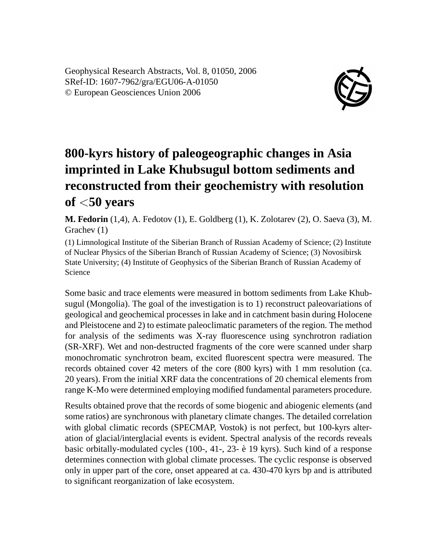Geophysical Research Abstracts, Vol. 8, 01050, 2006 SRef-ID: 1607-7962/gra/EGU06-A-01050 © European Geosciences Union 2006



## **800-kyrs history of paleogeographic changes in Asia imprinted in Lake Khubsugul bottom sediments and reconstructed from their geochemistry with resolution of** <**50 years**

**M. Fedorin** (1,4), A. Fedotov (1), E. Goldberg (1), K. Zolotarev (2), O. Saeva (3), M. Grachev (1)

(1) Limnological Institute of the Siberian Branch of Russian Academy of Science; (2) Institute of Nuclear Physics of the Siberian Branch of Russian Academy of Science; (3) Novosibirsk State University; (4) Institute of Geophysics of the Siberian Branch of Russian Academy of Science

Some basic and trace elements were measured in bottom sediments from Lake Khubsugul (Mongolia). The goal of the investigation is to 1) reconstruct paleovariations of geological and geochemical processes in lake and in catchment basin during Holocene and Pleistocene and 2) to estimate paleoclimatic parameters of the region. The method for analysis of the sediments was X-ray fluorescence using synchrotron radiation (SR-XRF). Wet and non-destructed fragments of the core were scanned under sharp monochromatic synchrotron beam, excited fluorescent spectra were measured. The records obtained cover 42 meters of the core (800 kyrs) with 1 mm resolution (ca. 20 years). From the initial XRF data the concentrations of 20 chemical elements from range K-Mo were determined employing modified fundamental parameters procedure.

Results obtained prove that the records of some biogenic and abiogenic elements (and some ratios) are synchronous with planetary climate changes. The detailed correlation with global climatic records (SPECMAP, Vostok) is not perfect, but 100-kyrs alteration of glacial/interglacial events is evident. Spectral analysis of the records reveals basic orbitally-modulated cycles (100-, 41-, 23- è 19 kyrs). Such kind of a response determines connection with global climate processes. The cyclic response is observed only in upper part of the core, onset appeared at ca. 430-470 kyrs bp and is attributed to significant reorganization of lake ecosystem.